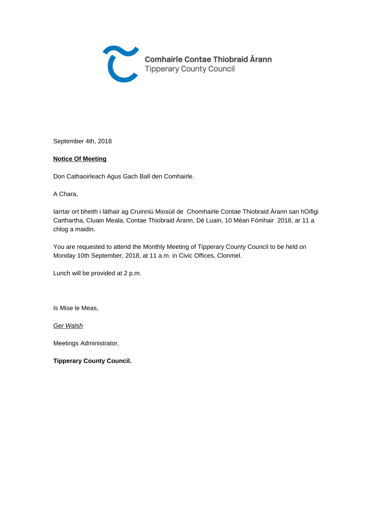

September 4th, 2018

#### **Notice Of Meeting**

Don Cathaoirleach Agus Gach Ball den Comhairle.

A Chara,

Iarrtar ort bheith i láthair ag Cruinniú Miosúil de Chomhairle Contae Thiobraid Árann san hOifigi Carthartha, Cluain Meala, Contae Thiobraid Árann, Dé Luain, 10 Méan Fómhair 2018, ar 11 a chlog a maidin.

You are requested to attend the Monthly Meeting of Tipperary County Council to be held on Monday 10th September, 2018, at 11 a.m. in Civic Offices, Clonmel.

Lunch will be provided at 2 p.m.

Is Mise le Meas,

Ger Walsh

Meetings Administrator,

**Tipperary County Council.**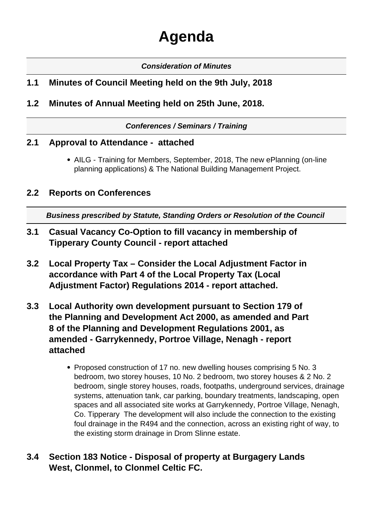# **Agenda**

#### **Consideration of Minutes**

## **1.1 Minutes of Council Meeting held on the 9th July, 2018**

**1.2 Minutes of Annual Meeting held on 25th June, 2018.**

**Conferences / Seminars / Training**

#### **2.1 Approval to Attendance - attached**

AILG - Training for Members, September, 2018, The new ePlanning (on-line planning applications) & The National Building Management Project.

#### **2.2 Reports on Conferences**

**Business prescribed by Statute, Standing Orders or Resolution of the Council** 

- **3.1 Casual Vacancy Co-Option to fill vacancy in membership of Tipperary County Council - report attached**
- **3.2 Local Property Tax Consider the Local Adjustment Factor in accordance with Part 4 of the Local Property Tax (Local Adjustment Factor) Regulations 2014 - report attached.**
- **3.3 Local Authority own development pursuant to Section 179 of the Planning and Development Act 2000, as amended and Part 8 of the Planning and Development Regulations 2001, as amended - Garrykennedy, Portroe Village, Nenagh - report attached**
	- Proposed construction of 17 no. new dwelling houses comprising 5 No. 3 bedroom, two storey houses, 10 No. 2 bedroom, two storey houses & 2 No. 2 bedroom, single storey houses, roads, footpaths, underground services, drainage systems, attenuation tank, car parking, boundary treatments, landscaping, open spaces and all associated site works at Garrykennedy, Portroe Village, Nenagh, Co. Tipperary The development will also include the connection to the existing foul drainage in the R494 and the connection, across an existing right of way, to the existing storm drainage in Drom Slinne estate.

## **3.4 Section 183 Notice - Disposal of property at Burgagery Lands West, Clonmel, to Clonmel Celtic FC.**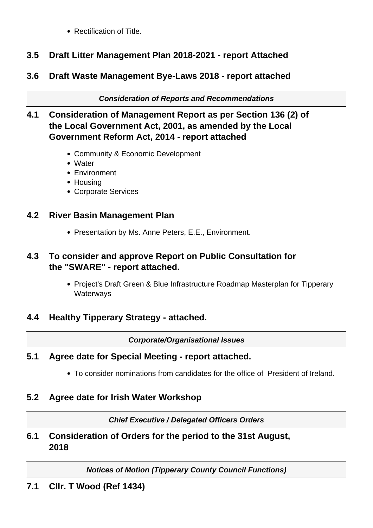• Rectification of Title.

# **3.5 Draft Litter Management Plan 2018-2021 - report Attached**

**3.6 Draft Waste Management Bye-Laws 2018 - report attached**

**Consideration of Reports and Recommendations**

## **4.1 Consideration of Management Report as per Section 136 (2) of the Local Government Act, 2001, as amended by the Local Government Reform Act, 2014 - report attached**

- Community & Economic Development
- Water
- Environment
- Housing
- Corporate Services

# **4.2 River Basin Management Plan**

• Presentation by Ms. Anne Peters, E.E., Environment.

# **4.3 To consider and approve Report on Public Consultation for the "SWARE" - report attached.**

• Project's Draft Green & Blue Infrastructure Roadmap Masterplan for Tipperary **Waterways** 

# **4.4 Healthy Tipperary Strategy - attached.**

#### **Corporate/Organisational Issues**

# **5.1 Agree date for Special Meeting - report attached.**

To consider nominations from candidates for the office of President of Ireland.

# **5.2 Agree date for Irish Water Workshop**

**Chief Executive / Delegated Officers Orders**

**6.1 Consideration of Orders for the period to the 31st August, 2018**

**Notices of Motion (Tipperary County Council Functions)**

**7.1 Cllr. T Wood (Ref 1434)**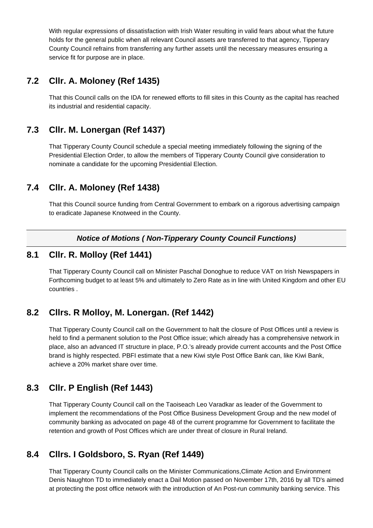With regular expressions of dissatisfaction with Irish Water resulting in valid fears about what the future holds for the general public when all relevant Council assets are transferred to that agency, Tipperary County Council refrains from transferring any further assets until the necessary measures ensuring a service fit for purpose are in place.

#### **7.2 Cllr. A. Moloney (Ref 1435)**

That this Council calls on the IDA for renewed efforts to fill sites in this County as the capital has reached its industrial and residential capacity.

## **7.3 Cllr. M. Lonergan (Ref 1437)**

That Tipperary County Council schedule a special meeting immediately following the signing of the Presidential Election Order, to allow the members of Tipperary County Council give consideration to nominate a candidate for the upcoming Presidential Election.

## **7.4 Cllr. A. Moloney (Ref 1438)**

That this Council source funding from Central Government to embark on a rigorous advertising campaign to eradicate Japanese Knotweed in the County.

#### **Notice of Motions ( Non-Tipperary County Council Functions)**

#### **8.1 Cllr. R. Molloy (Ref 1441)**

That Tipperary County Council call on Minister Paschal Donoghue to reduce VAT on Irish Newspapers in Forthcoming budget to at least 5% and ultimately to Zero Rate as in line with United Kingdom and other EU countries .

## **8.2 Cllrs. R Molloy, M. Lonergan. (Ref 1442)**

That Tipperary County Council call on the Government to halt the closure of Post Offices until a review is held to find a permanent solution to the Post Office issue; which already has a comprehensive network in place, also an advanced IT structure in place, P.O.'s already provide current accounts and the Post Office brand is highly respected. PBFI estimate that a new Kiwi style Post Office Bank can, like Kiwi Bank, achieve a 20% market share over time.

## **8.3 Cllr. P English (Ref 1443)**

That Tipperary County Council call on the Taoiseach Leo Varadkar as leader of the Government to implement the recommendations of the Post Office Business Development Group and the new model of community banking as advocated on page 48 of the current programme for Government to facilitate the retention and growth of Post Offices which are under threat of closure in Rural Ireland.

## **8.4 Cllrs. I Goldsboro, S. Ryan (Ref 1449)**

That Tipperary County Council calls on the Minister Communications,Climate Action and Environment Denis Naughton TD to immediately enact a Dail Motion passed on November 17th, 2016 by all TD's aimed at protecting the post office network with the introduction of An Post-run community banking service. This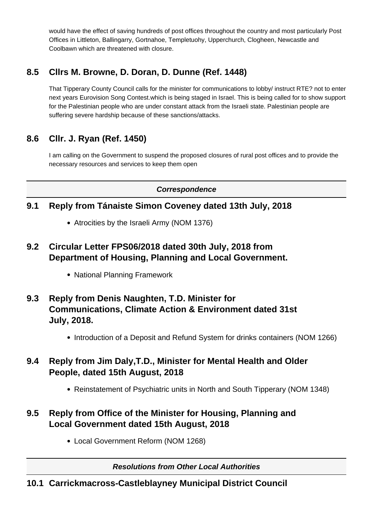would have the effect of saving hundreds of post offices throughout the country and most particularly Post Offices in Littleton, Ballingarry, Gortnahoe, Templetuohy, Upperchurch, Clogheen, Newcastle and Coolbawn which are threatened with closure.

# **8.5 Cllrs M. Browne, D. Doran, D. Dunne (Ref. 1448)**

That Tipperary County Council calls for the minister for communications to lobby/ instruct RTE? not to enter next years Eurovision Song Contest.which is being staged in Israel. This is being called for to show support for the Palestinian people who are under constant attack from the Israeli state. Palestinian people are suffering severe hardship because of these sanctions/attacks.

# **8.6 Cllr. J. Ryan (Ref. 1450)**

I am calling on the Government to suspend the proposed closures of rural post offices and to provide the necessary resources and services to keep them open

**Correspondence**

## **9.1 Reply from Tánaiste Simon Coveney dated 13th July, 2018**

- Atrocities by the Israeli Army (NOM 1376)
- **9.2 Circular Letter FPS06/2018 dated 30th July, 2018 from Department of Housing, Planning and Local Government.**
	- National Planning Framework
- **9.3 Reply from Denis Naughten, T.D. Minister for Communications, Climate Action & Environment dated 31st July, 2018.**
	- Introduction of a Deposit and Refund System for drinks containers (NOM 1266)

## **9.4 Reply from Jim Daly,T.D., Minister for Mental Health and Older People, dated 15th August, 2018**

Reinstatement of Psychiatric units in North and South Tipperary (NOM 1348)

## **9.5 Reply from Office of the Minister for Housing, Planning and Local Government dated 15th August, 2018**

Local Government Reform (NOM 1268)

**Resolutions from Other Local Authorities**

#### **10.1 Carrickmacross-Castleblayney Municipal District Council**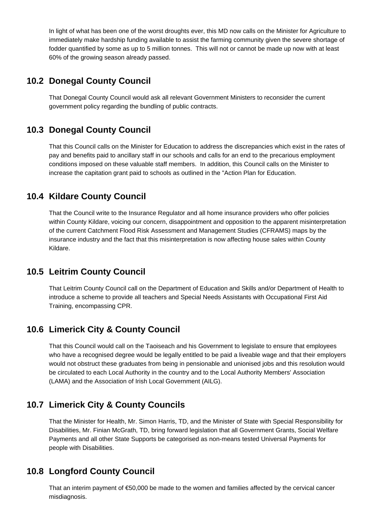In light of what has been one of the worst droughts ever, this MD now calls on the Minister for Agriculture to immediately make hardship funding available to assist the farming community given the severe shortage of fodder quantified by some as up to 5 million tonnes. This will not or cannot be made up now with at least 60% of the growing season already passed.

#### **10.2 Donegal County Council**

That Donegal County Council would ask all relevant Government Ministers to reconsider the current government policy regarding the bundling of public contracts.

## **10.3 Donegal County Council**

That this Council calls on the Minister for Education to address the discrepancies which exist in the rates of pay and benefits paid to ancillary staff in our schools and calls for an end to the precarious employment conditions imposed on these valuable staff members. In addition, this Council calls on the Minister to increase the capitation grant paid to schools as outlined in the "Action Plan for Education.

## **10.4 Kildare County Council**

That the Council write to the Insurance Regulator and all home insurance providers who offer policies within County Kildare, voicing our concern, disappointment and opposition to the apparent misinterpretation of the current Catchment Flood Risk Assessment and Management Studies (CFRAMS) maps by the insurance industry and the fact that this misinterpretation is now affecting house sales within County Kildare.

## **10.5 Leitrim County Council**

That Leitrim County Council call on the Department of Education and Skills and/or Department of Health to introduce a scheme to provide all teachers and Special Needs Assistants with Occupational First Aid Training, encompassing CPR.

## **10.6 Limerick City & County Council**

That this Council would call on the Taoiseach and his Government to legislate to ensure that employees who have a recognised degree would be legally entitled to be paid a liveable wage and that their employers would not obstruct these graduates from being in pensionable and unionised jobs and this resolution would be circulated to each Local Authority in the country and to the Local Authority Members' Association (LAMA) and the Association of Irish Local Government (AILG).

# **10.7 Limerick City & County Councils**

That the Minister for Health, Mr. Simon Harris, TD, and the Minister of State with Special Responsibility for Disabilities, Mr. Finian McGrath, TD, bring forward legislation that all Government Grants, Social Welfare Payments and all other State Supports be categorised as non-means tested Universal Payments for people with Disabilities.

## **10.8 Longford County Council**

That an interim payment of €50,000 be made to the women and families affected by the cervical cancer misdiagnosis.